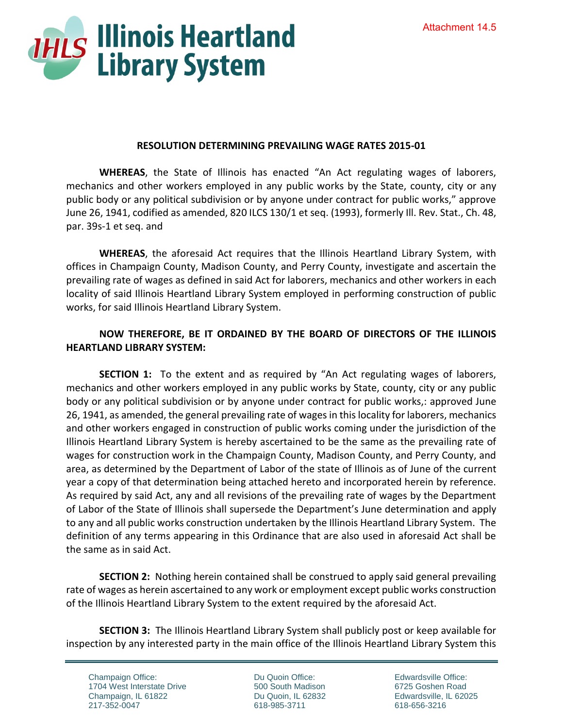

#### **RESOLUTION DETERMINING PREVAILING WAGE RATES 2015-01**

 **WHEREAS**, the State of Illinois has enacted "An Act regulating wages of laborers, mechanics and other workers employed in any public works by the State, county, city or any public body or any political subdivision or by anyone under contract for public works," approve June 26, 1941, codified as amended, 820 ILCS 130/1 et seq. (1993), formerly Ill. Rev. Stat., Ch. 48, par. 39s-1 et seq. and

**WHEREAS**, the aforesaid Act requires that the Illinois Heartland Library System, with offices in Champaign County, Madison County, and Perry County, investigate and ascertain the prevailing rate of wages as defined in said Act for laborers, mechanics and other workers in each locality of said Illinois Heartland Library System employed in performing construction of public works, for said Illinois Heartland Library System.

## **NOW THEREFORE, BE IT ORDAINED BY THE BOARD OF DIRECTORS OF THE ILLINOIS HEARTLAND LIBRARY SYSTEM:**

**SECTION 1:** To the extent and as required by "An Act regulating wages of laborers, mechanics and other workers employed in any public works by State, county, city or any public body or any political subdivision or by anyone under contract for public works,: approved June 26, 1941, as amended, the general prevailing rate of wages in this locality for laborers, mechanics and other workers engaged in construction of public works coming under the jurisdiction of the Illinois Heartland Library System is hereby ascertained to be the same as the prevailing rate of wages for construction work in the Champaign County, Madison County, and Perry County, and area, as determined by the Department of Labor of the state of Illinois as of June of the current year a copy of that determination being attached hereto and incorporated herein by reference. As required by said Act, any and all revisions of the prevailing rate of wages by the Department of Labor of the State of Illinois shall supersede the Department's June determination and apply to any and all public works construction undertaken by the Illinois Heartland Library System. The definition of any terms appearing in this Ordinance that are also used in aforesaid Act shall be the same as in said Act.

**SECTION 2:** Nothing herein contained shall be construed to apply said general prevailing rate of wages as herein ascertained to any work or employment except public works construction of the Illinois Heartland Library System to the extent required by the aforesaid Act.

**SECTION 3:** The Illinois Heartland Library System shall publicly post or keep available for inspection by any interested party in the main office of the Illinois Heartland Library System this

Champaign Office: 1704 West Interstate Drive Champaign, IL 61822 217-352-0047

Du Quoin Office: 500 South Madison Du Quoin, IL 62832 618-985-3711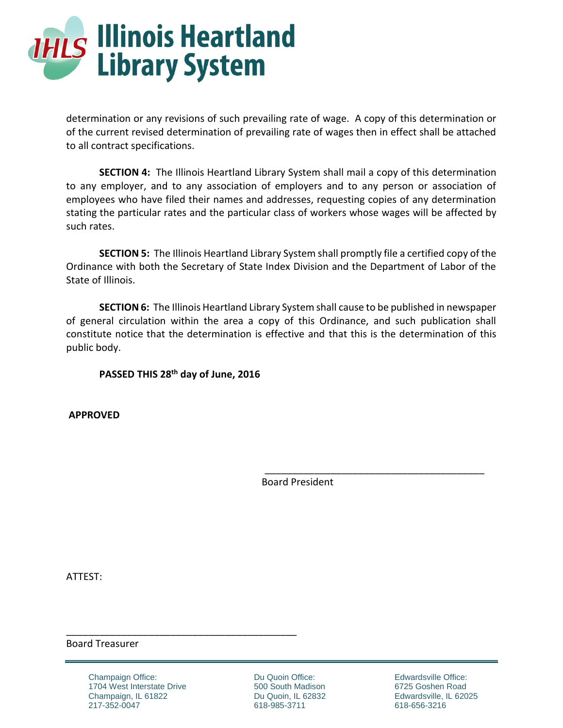

determination or any revisions of such prevailing rate of wage. A copy of this determination or of the current revised determination of prevailing rate of wages then in effect shall be attached to all contract specifications.

**SECTION 4:** The Illinois Heartland Library System shall mail a copy of this determination to any employer, and to any association of employers and to any person or association of employees who have filed their names and addresses, requesting copies of any determination stating the particular rates and the particular class of workers whose wages will be affected by such rates.

**SECTION 5:** The Illinois Heartland Library System shall promptly file a certified copy of the Ordinance with both the Secretary of State Index Division and the Department of Labor of the State of Illinois.

**SECTION 6:** The Illinois Heartland Library System shall cause to be published in newspaper of general circulation within the area a copy of this Ordinance, and such publication shall constitute notice that the determination is effective and that this is the determination of this public body.

## **PASSED THIS 28 th day of June, 2016**

\_\_\_\_\_\_\_\_\_\_\_\_\_\_\_\_\_\_\_\_\_\_\_\_\_\_\_\_\_\_\_\_\_\_\_\_\_\_\_\_\_\_

**APPROVED**

Board President

\_\_\_\_\_\_\_\_\_\_\_\_\_\_\_\_\_\_\_\_\_\_\_\_\_\_\_\_\_\_\_\_\_\_\_\_\_\_\_\_

ATTEST:

Board Treasurer

Champaign Office: 1704 West Interstate Drive Champaign, IL 61822 217-352-0047

Du Quoin Office: 500 South Madison Du Quoin, IL 62832 618-985-3711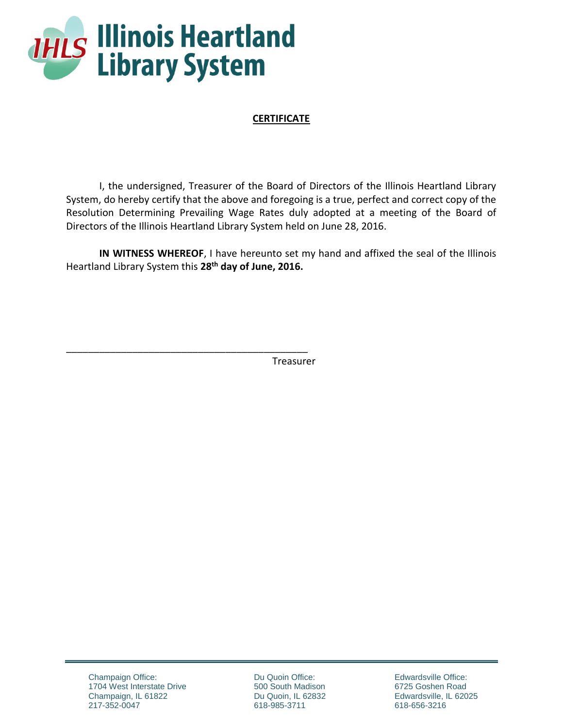

\_\_\_\_\_\_\_\_\_\_\_\_\_\_\_\_\_\_\_\_\_\_\_\_\_\_\_\_\_\_\_\_\_\_\_\_\_\_\_\_\_\_\_\_

# **CERTIFICATE**

I, the undersigned, Treasurer of the Board of Directors of the Illinois Heartland Library System, do hereby certify that the above and foregoing is a true, perfect and correct copy of the Resolution Determining Prevailing Wage Rates duly adopted at a meeting of the Board of Directors of the Illinois Heartland Library System held on June 28, 2016.

**IN WITNESS WHEREOF**, I have hereunto set my hand and affixed the seal of the Illinois Heartland Library System this **28 th day of June, 2016.**

Treasurer

Champaign Office: 1704 West Interstate Drive Champaign, IL 61822 217-352-0047

Du Quoin Office: 500 South Madison Du Quoin, IL 62832 618-985-3711